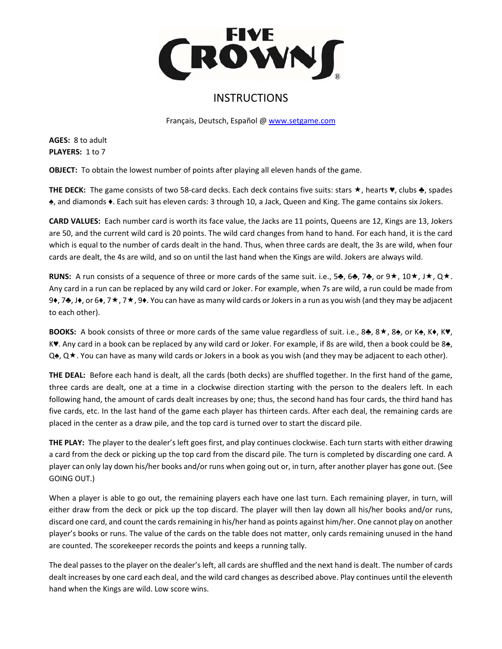

## **INSTRUCTIONS**

Français, Deutsch, Español @ www.setgame.com

**AGES:** 8 to adult PLAYERS: 1 to 7

**OBJECT:** To obtain the lowest number of points after playing all eleven hands of the game.

**THE DECK:** The game consists of two 58-card decks. Each deck contains five suits: stars  $\star$ , hearts  $\bullet$ , clubs ♣, spades ♠, and diamonds ♦. Each suit has eleven cards: 3 through 10, a Jack, Queen and King. The game contains six Jokers.

**CARD VALUES:** Each number card is worth its face value, the Jacks are 11 points, Queens are 12, Kings are 13, Jokers are 50, and the current wild card is 20 points. The wild card changes from hand to hand. For each hand, it is the card which is equal to the number of cards dealt in the hand. Thus, when three cards are dealt, the 3s are wild, when four cards are dealt, the 4s are wild, and so on until the last hand when the Kings are wild. Jokers are always wild.

**RUNS:** A run consists of a sequence of three or more cards of the same suit. i.e., 5 $\clubsuit$ , 6 $\clubsuit$ , 7 $\clubsuit$ ,  $\circ \blacktriangle$ ,  $\uparrow$ ,  $\uparrow$ ,  $\downarrow$ ,  $\downarrow$ ,  $\downarrow \star$ ,  $\downarrow \star$ ,  $\downarrow \star$ ,  $\downarrow \star$ ,  $\downarrow \star$ ,  $\downarrow \star$ ,  $\downarrow \star$ ,  $\downarrow \star$ ,  $\downarrow$ Any card in a run can be replaced by any wild card or Joker. For example, when 7s are wild, a run could be made from 9♦, 7♣, J♦, or 6♦, 7★, 7★, 9♦. You can have as many wild cards or Jokers in a run as you wish (and they may be adjacent to each other).

**BOOKS:** A book consists of three or more cards of the same value regardless of suit. i.e., 8♣, 8★, 8♠, or K♠, K♦, K♥, K<sup>\*</sup>. Any card in a book can be replaced by any wild card or Joker. For example, if 8s are wild, then a book could be 8<del>▲</del>, Q♠, Q★. You can have as many wild cards or Jokers in a book as you wish (and they may be adjacent to each other).

**THE DEAL:** Before each hand is dealt, all the cards (both decks) are shuffled together. In the first hand of the game, three cards are dealt, one at a time in a clockwise direction starting with the person to the dealers left. In each following hand, the amount of cards dealt increases by one; thus, the second hand has four cards, the third hand has five cards, etc. In the last hand of the game each player has thirteen cards. After each deal, the remaining cards are placed in the center as a draw pile, and the top card is turned over to start the discard pile.

**THE PLAY:** The player to the dealer's left goes first, and play continues clockwise. Each turn starts with either drawing a card from the deck or picking up the top card from the discard pile. The turn is completed by discarding one card. A player can only lay down his/her books and/or runs when going out or, in turn, after another player has gone out. (See GOING OUT.)

When a player is able to go out, the remaining players each have one last turn. Each remaining player, in turn, will either draw from the deck or pick up the top discard. The player will then lay down all his/her books and/or runs, discard one card, and count the cards remaining in his/her hand as points against him/her. One cannot play on another player's books or runs. The value of the cards on the table does not matter, only cards remaining unused in the hand are counted. The scorekeeper records the points and keeps a running tally.

The deal passes to the player on the dealer's left, all cards are shuffled and the next hand is dealt. The number of cards dealt increases by one card each deal, and the wild card changes as described above. Play continues until the eleventh hand when the Kings are wild. Low score wins.